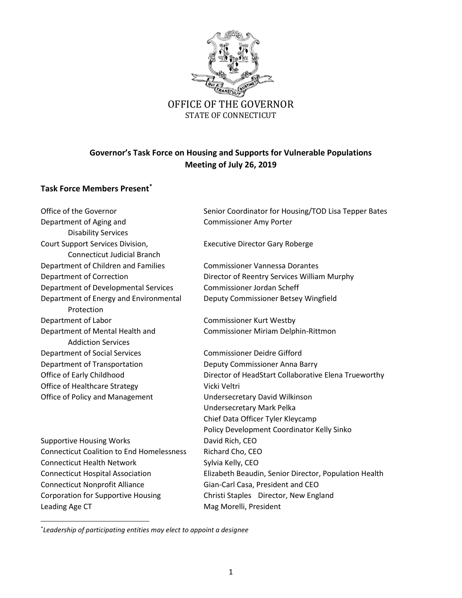

# **Governor's Task Force on Housing and Supports for Vulnerable Populations Meeting of July 26, 2019**

# **Task Force Members Present\***

Department of Aging and Theorem Commissioner Amy Porter Disability Services Court Support Services Division, Executive Director Gary Roberge Connecticut Judicial Branch Department of Children and Families Commissioner Vannessa Dorantes Department of Correction Director of Reentry Services William Murphy Department of Developmental Services Commissioner Jordan Scheff Department of Energy and Environmental Deputy Commissioner Betsey Wingfield Protection Department of Labor Commissioner Kurt Westby Department of Mental Health and Commissioner Miriam Delphin-Rittmon Addiction Services Department of Social Services Commissioner Deidre Gifford Department of Transportation **Deputy Commissioner Anna Barry** Office of Healthcare Strategy Vicki Veltri Office of Policy and Management Undersecretary David Wilkinson Supportive Housing Works **David Rich, CEO** Connecticut Coalition to End Homelessness Richard Cho, CEO Connecticut Health Network Sylvia Kelly, CEO Connecticut Nonprofit Alliance Gian-Carl Casa, President and CEO Corporation for Supportive Housing Christi Staples Director, New England

Office of the Governor Senior Coordinator for Housing/TOD Lisa Tepper Bates

Office of Early Childhood Director of HeadStart Collaborative Elena Trueworthy Undersecretary Mark Pelka Chief Data Officer Tyler Kleycamp Policy Development Coordinator Kelly Sinko Connecticut Hospital Association **Elizabeth Beaudin, Senior Director, Population Health** Leading Age CT **Mag Morelli**, President

\* *Leadership of participating entities may elect to appoint a designee*

 $\overline{\phantom{a}}$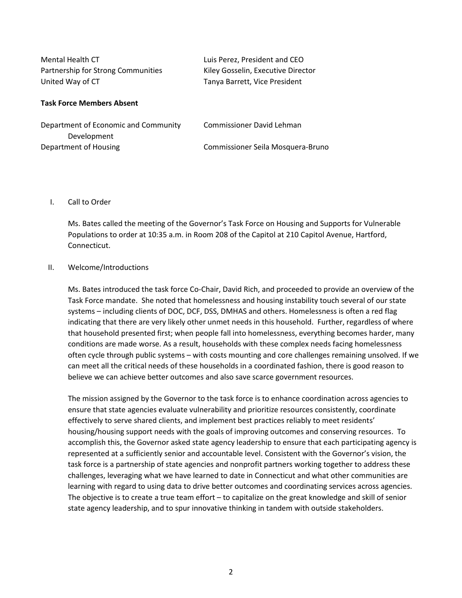| Mental Health CT                   | Luis Perez, President and CEO      |
|------------------------------------|------------------------------------|
| Partnership for Strong Communities | Kiley Gosselin, Executive Director |
| United Way of CT                   | Tanya Barrett, Vice President      |

#### **Task Force Members Absent**

| Department of Economic and Community | Commissioner David Lehman         |
|--------------------------------------|-----------------------------------|
| Development                          |                                   |
| Department of Housing                | Commissioner Seila Mosquera-Bruno |

## I. Call to Order

Ms. Bates called the meeting of the Governor's Task Force on Housing and Supports for Vulnerable Populations to order at 10:35 a.m. in Room 208 of the Capitol at 210 Capitol Avenue, Hartford, Connecticut.

#### II. Welcome/Introductions

Ms. Bates introduced the task force Co-Chair, David Rich, and proceeded to provide an overview of the Task Force mandate. She noted that homelessness and housing instability touch several of our state systems – including clients of DOC, DCF, DSS, DMHAS and others. Homelessness is often a red flag indicating that there are very likely other unmet needs in this household. Further, regardless of where that household presented first; when people fall into homelessness, everything becomes harder, many conditions are made worse. As a result, households with these complex needs facing homelessness often cycle through public systems – with costs mounting and core challenges remaining unsolved. If we can meet all the critical needs of these households in a coordinated fashion, there is good reason to believe we can achieve better outcomes and also save scarce government resources.

The mission assigned by the Governor to the task force is to enhance coordination across agencies to ensure that state agencies evaluate vulnerability and prioritize resources consistently, coordinate effectively to serve shared clients, and implement best practices reliably to meet residents' housing/housing support needs with the goals of improving outcomes and conserving resources. To accomplish this, the Governor asked state agency leadership to ensure that each participating agency is represented at a sufficiently senior and accountable level. Consistent with the Governor's vision, the task force is a partnership of state agencies and nonprofit partners working together to address these challenges, leveraging what we have learned to date in Connecticut and what other communities are learning with regard to using data to drive better outcomes and coordinating services across agencies. The objective is to create a true team effort – to capitalize on the great knowledge and skill of senior state agency leadership, and to spur innovative thinking in tandem with outside stakeholders.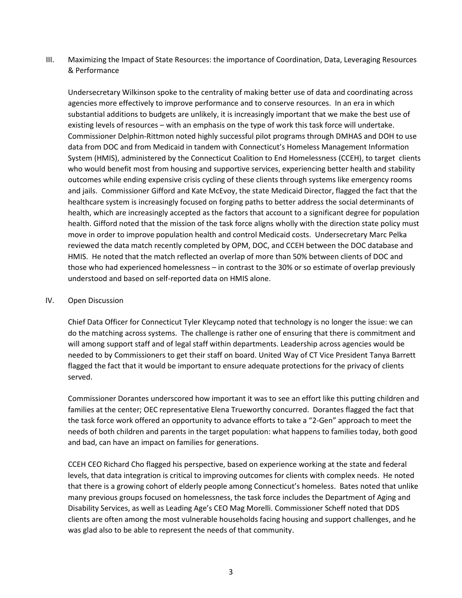III. Maximizing the Impact of State Resources: the importance of Coordination, Data, Leveraging Resources & Performance

Undersecretary Wilkinson spoke to the centrality of making better use of data and coordinating across agencies more effectively to improve performance and to conserve resources. In an era in which substantial additions to budgets are unlikely, it is increasingly important that we make the best use of existing levels of resources – with an emphasis on the type of work this task force will undertake. Commissioner Delphin-Rittmon noted highly successful pilot programs through DMHAS and DOH to use data from DOC and from Medicaid in tandem with Connecticut's Homeless Management Information System (HMIS), administered by the Connecticut Coalition to End Homelessness (CCEH), to target clients who would benefit most from housing and supportive services, experiencing better health and stability outcomes while ending expensive crisis cycling of these clients through systems like emergency rooms and jails. Commissioner Gifford and Kate McEvoy, the state Medicaid Director, flagged the fact that the healthcare system is increasingly focused on forging paths to better address the social determinants of health, which are increasingly accepted as the factors that account to a significant degree for population health. Gifford noted that the mission of the task force aligns wholly with the direction state policy must move in order to improve population health and control Medicaid costs. Undersecretary Marc Pelka reviewed the data match recently completed by OPM, DOC, and CCEH between the DOC database and HMIS. He noted that the match reflected an overlap of more than 50% between clients of DOC and those who had experienced homelessness – in contrast to the 30% or so estimate of overlap previously understood and based on self-reported data on HMIS alone.

# IV. Open Discussion

Chief Data Officer for Connecticut Tyler Kleycamp noted that technology is no longer the issue: we can do the matching across systems. The challenge is rather one of ensuring that there is commitment and will among support staff and of legal staff within departments. Leadership across agencies would be needed to by Commissioners to get their staff on board. United Way of CT Vice President Tanya Barrett flagged the fact that it would be important to ensure adequate protections for the privacy of clients served.

Commissioner Dorantes underscored how important it was to see an effort like this putting children and families at the center; OEC representative Elena Trueworthy concurred. Dorantes flagged the fact that the task force work offered an opportunity to advance efforts to take a "2-Gen" approach to meet the needs of both children and parents in the target population: what happens to families today, both good and bad, can have an impact on families for generations.

CCEH CEO Richard Cho flagged his perspective, based on experience working at the state and federal levels, that data integration is critical to improving outcomes for clients with complex needs. He noted that there is a growing cohort of elderly people among Connecticut's homeless. Bates noted that unlike many previous groups focused on homelessness, the task force includes the Department of Aging and Disability Services, as well as Leading Age's CEO Mag Morelli. Commissioner Scheff noted that DDS clients are often among the most vulnerable households facing housing and support challenges, and he was glad also to be able to represent the needs of that community.